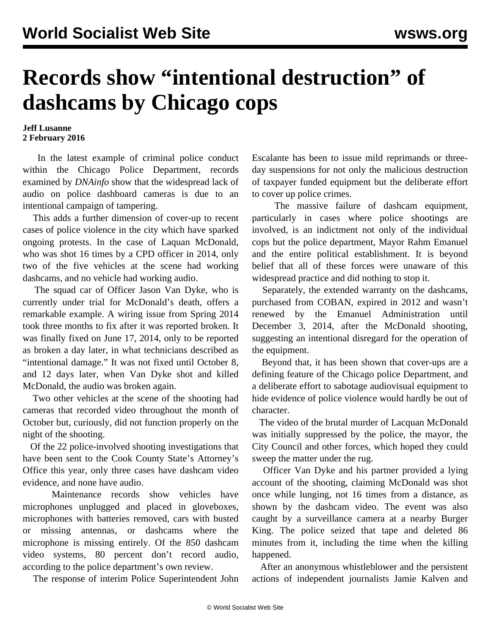## **Records show "intentional destruction" of dashcams by Chicago cops**

## **Jeff Lusanne 2 February 2016**

 In the latest example of criminal police conduct within the Chicago Police Department, records examined by *DNAinfo* show that the widespread lack of audio on police dashboard cameras is due to an intentional campaign of tampering.

 This adds a further dimension of cover-up to recent cases of police violence in the city which have sparked ongoing protests. In the case of Laquan McDonald, who was shot 16 times by a CPD officer in 2014, only two of the five vehicles at the scene had working dashcams, and no vehicle had working audio.

 The squad car of Officer Jason Van Dyke, who is currently under trial for McDonald's death, offers a remarkable example. A wiring issue from Spring 2014 took three months to fix after it was reported broken. It was finally fixed on June 17, 2014, only to be reported as broken a day later, in what technicians described as "intentional damage." It was not fixed until October 8, and 12 days later, when Van Dyke shot and killed McDonald, the audio was broken again.

 Two other vehicles at the scene of the shooting had cameras that recorded video throughout the month of October but, curiously, did not function properly on the night of the shooting.

 Of the 22 police-involved shooting investigations that have been sent to the Cook County State's Attorney's Office this year, only three cases have dashcam video evidence, and none have audio.

 Maintenance records show vehicles have microphones unplugged and placed in gloveboxes, microphones with batteries removed, cars with busted or missing antennas, or dashcams where the microphone is missing entirely. Of the 850 dashcam video systems, 80 percent don't record audio, according to the police department's own review.

The response of interim Police Superintendent John

Escalante has been to issue mild reprimands or threeday suspensions for not only the malicious destruction of taxpayer funded equipment but the deliberate effort to cover up police crimes.

 The massive failure of dashcam equipment, particularly in cases where police shootings are involved, is an indictment not only of the individual cops but the police department, Mayor Rahm Emanuel and the entire political establishment. It is beyond belief that all of these forces were unaware of this widespread practice and did nothing to stop it.

 Separately, the extended warranty on the dashcams, purchased from COBAN, expired in 2012 and wasn't renewed by the Emanuel Administration until December 3, 2014, after the McDonald shooting, suggesting an intentional disregard for the operation of the equipment.

 Beyond that, it has been shown that cover-ups are a defining feature of the Chicago police Department, and a deliberate effort to sabotage audiovisual equipment to hide evidence of police violence would hardly be out of character.

 The video of the brutal murder of Lacquan McDonald was initially [suppressed b](/en/articles/2015/11/30/chic-n30.html%20)y the police, the mayor, the City Council and other forces, which hoped they could sweep the matter under the rug.

 Officer Van Dyke and his partner provided a lying account of the shooting, claiming McDonald was shot once while lunging, not 16 times from a distance, as shown by the dashcam video. The event was also caught by a surveillance camera at a nearby Burger King. The police seized that tape and deleted 86 minutes from it, including the time when the killing happened.

 After an anonymous whistleblower and the persistent actions of independent journalists Jamie Kalven and